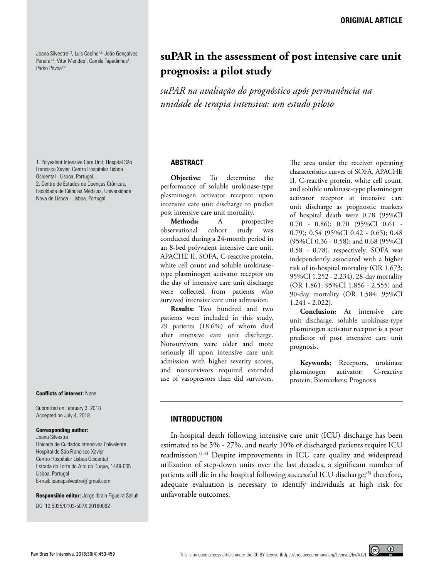Joana Silvestre<sup>1,2</sup>, Luis Coelho<sup>1,2,</sup> João Gonçalves Pereira<sup>1,2</sup>, Vitor Mendes<sup>1</sup>, Camila Tapadinhas<sup>1</sup>, Pedro Póvoa<sup>1,2</sup>

1. Polyvalent Intensive Care Unit, Hospital São Francisco Xavier, Centro Hospitalar Lisboa Ocidental - Lisboa, Portugal. 2. Centro de Estudos de Doenças Crônicas, Faculdade de Ciências Médicas, Universidade Nova de Lisboa - Lisboa, Portugal.

#### **Conflicts of interest:** None.

Submitted on February 3, 2018 Accepted on July 4, 2018

#### **Corresponding author:**

Joana Silvestre Unidade de Cuidados Intensivos Polivalente Hospital de São Francisco Xavier Centro Hospitalar Lisboa Ocidental Estrada do Forte do Alto do Duque, 1449-005 Lisboa, Portugal E-mail: joanapsilvestre@gmail.com

**Responsible editor:** Jorge Ibrain Figueira Salluh DOI 10.5935/0103-507X.20180062

# **suPAR in the assessment of post intensive care unit prognosis: a pilot study**

*suPAR na avaliação do prognóstico após permanência na unidade de terapia intensiva: um estudo piloto*

#### **ABSTRACT**

**Objective:** To determine the performance of soluble urokinase-type plasminogen activator receptor upon intensive care unit discharge to predict post intensive care unit mortality.

**Methods:** A prospective observational cohort study was conducted during a 24-month period in an 8-bed polyvalent intensive care unit. APACHE II, SOFA, C-reactive protein, white cell count and soluble urokinasetype plasminogen activator receptor on the day of intensive care unit discharge were collected from patients who survived intensive care unit admission.

**Results:** Two hundred and two patients were included in this study, 29 patients (18.6%) of whom died after intensive care unit discharge. Nonsurvivors were older and more seriously ill upon intensive care unit admission with higher severity scores, and nonsurvivors required extended use of vasopressors than did survivors.

The area under the receiver operating characteristics curves of SOFA, APACHE II, C-reactive protein, white cell count, and soluble urokinase-type plasminogen activator receptor at intensive care unit discharge as prognostic markers of hospital death were 0.78 (95%CI 0.70 - 0.86); 0.70 (95%CI 0.61 - 0.79); 0.54 (95%CI 0.42 - 0.65); 0.48 (95%CI 0.36 - 0.58); and 0.68 (95%CI 0.58 - 0.78), respectively. SOFA was independently associated with a higher risk of in-hospital mortality (OR 1.673; 95%CI 1.252 - 2.234), 28-day mortality (OR 1.861; 95%CI 1.856 - 2.555) and 90-day mortality (OR 1.584; 95%CI 1.241 - 2.022).

**Conclusion:** At intensive care unit discharge, soluble urokinase-type plasminogen activator receptor is a poor predictor of post intensive care unit prognosis.

**Keywords:** Receptors, urokinase plasminogen activator; C-reactive protein; Biomarkers; Prognosis

 $\odot$ 

# **INTRODUCTION**

In-hospital death following intensive care unit (ICU) discharge has been estimated to be 5% - 27%, and nearly 10% of discharged patients require ICU readmission.<sup>(1-4)</sup> Despite improvements in ICU care quality and widespread utilization of step-down units over the last decades, a significant number of patients still die in the hospital following successful ICU discharge;<sup>(5)</sup> therefore, adequate evaluation is necessary to identify individuals at high risk for unfavorable outcomes.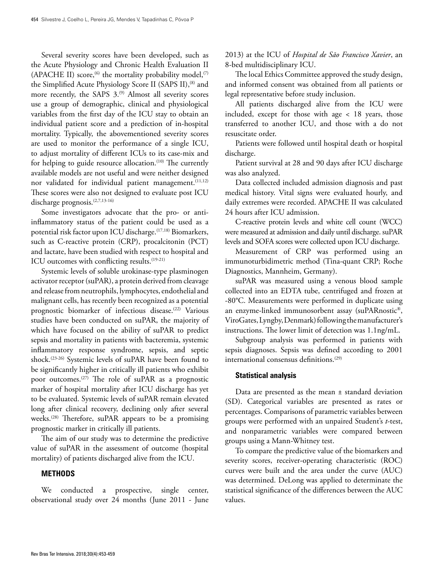Several severity scores have been developed, such as the Acute Physiology and Chronic Health Evaluation II (APACHE II) score,<sup>(6)</sup> the mortality probability model,<sup>(7)</sup> the Simplified Acute Physiology Score II (SAPS II),<sup>(8)</sup> and more recently, the SAPS 3.<sup>(9)</sup> Almost all severity scores use a group of demographic, clinical and physiological variables from the first day of the ICU stay to obtain an individual patient score and a prediction of in-hospital mortality. Typically, the abovementioned severity scores are used to monitor the performance of a single ICU, to adjust mortality of different ICUs to its case-mix and for helping to guide resource allocation.<sup>(10)</sup> The currently available models are not useful and were neither designed nor validated for individual patient management.<sup>(11,12)</sup> These scores were also not designed to evaluate post ICU discharge prognosis.(2,7,13-16)

Some investigators advocate that the pro- or antiinflammatory status of the patient could be used as a potential risk factor upon ICU discharge.<sup>(17,18)</sup> Biomarkers, such as C-reactive protein (CRP), procalcitonin (PCT) and lactate, have been studied with respect to hospital and ICU outcomes with conflicting results.<sup>(19-21)</sup>

Systemic levels of soluble urokinase-type plasminogen activator receptor (suPAR), a protein derived from cleavage and release from neutrophils, lymphocytes, endothelial and malignant cells, has recently been recognized as a potential prognostic biomarker of infectious disease.<sup>(22)</sup> Various studies have been conducted on suPAR, the majority of which have focused on the ability of suPAR to predict sepsis and mortality in patients with bacteremia, systemic inflammatory response syndrome, sepsis, and septic shock.(23-26) Systemic levels of suPAR have been found to be significantly higher in critically ill patients who exhibit poor outcomes.(27) The role of suPAR as a prognostic marker of hospital mortality after ICU discharge has yet to be evaluated. Systemic levels of suPAR remain elevated long after clinical recovery, declining only after several weeks.<sup>(28)</sup> Therefore, suPAR appears to be a promising prognostic marker in critically ill patients.

The aim of our study was to determine the predictive value of suPAR in the assessment of outcome (hospital mortality) of patients discharged alive from the ICU.

## **METHODS**

We conducted a prospective, single center, observational study over 24 months (June 2011 - June 2013) at the ICU of *Hospital de São Francisco Xavier*, an 8-bed multidisciplinary ICU.

The local Ethics Committee approved the study design, and informed consent was obtained from all patients or legal representative before study inclusion.

All patients discharged alive from the ICU were included, except for those with age < 18 years, those transferred to another ICU, and those with a do not resuscitate order.

Patients were followed until hospital death or hospital discharge.

Patient survival at 28 and 90 days after ICU discharge was also analyzed.

Data collected included admission diagnosis and past medical history. Vital signs were evaluated hourly, and daily extremes were recorded. APACHE II was calculated 24 hours after ICU admission.

C-reactive protein levels and white cell count (WCC) were measured at admission and daily until discharge. suPAR levels and SOFA scores were collected upon ICU discharge.

Measurement of CRP was performed using an immunoturbidimetric method (Tina-quant CRP; Roche Diagnostics, Mannheim, Germany).

suPAR was measured using a venous blood sample collected into an EDTA tube, centrifuged and frozen at -80°C. Measurements were performed in duplicate using an enzyme-linked immunosorbent assay (suPARnostic®, ViroGates, Lyngby, Denmark) following the manufacturer's instructions. The lower limit of detection was 1.1ng/mL.

Subgroup analysis was performed in patients with sepsis diagnoses. Sepsis was defined according to 2001 international consensus definitions.(29)

## **Statistical analysis**

Data are presented as the mean ± standard deviation (SD). Categorical variables are presented as rates or percentages. Comparisons of parametric variables between groups were performed with an unpaired Student's *t*-test, and nonparametric variables were compared between groups using a Mann-Whitney test.

To compare the predictive value of the biomarkers and severity scores, receiver-operating characteristic (ROC) curves were built and the area under the curve (AUC) was determined. DeLong was applied to determinate the statistical significance of the differences between the AUC values.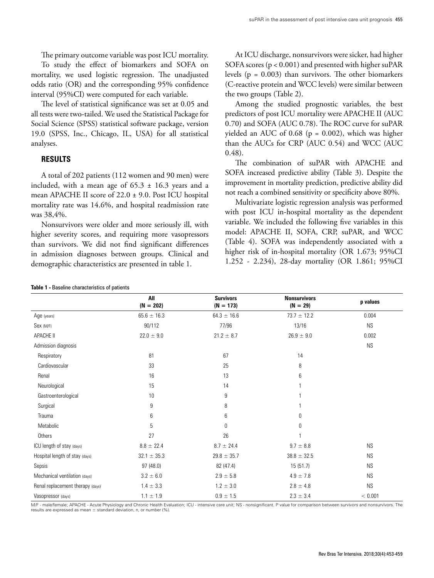The primary outcome variable was post ICU mortality.

To study the effect of biomarkers and SOFA on mortality, we used logistic regression. The unadjusted odds ratio (OR) and the corresponding 95% confidence interval (95%CI) were computed for each variable.

The level of statistical significance was set at 0.05 and all tests were two-tailed. We used the Statistical Package for Social Science (SPSS) statistical software package, version 19.0 (SPSS, Inc., Chicago, IL, USA) for all statistical analyses.

# **RESULTS**

A total of 202 patients (112 women and 90 men) were included, with a mean age of  $65.3 \pm 16.3$  years and a mean APACHE II score of 22.0 ± 9.0. Post ICU hospital mortality rate was 14.6%, and hospital readmission rate was 38,4%.

Nonsurvivors were older and more seriously ill, with higher severity scores, and requiring more vasopressors than survivors. We did not find significant differences in admission diagnoses between groups. Clinical and demographic characteristics are presented in table 1.

At ICU discharge, nonsurvivors were sicker, had higher SOFA scores (p < 0.001) and presented with higher suPAR levels ( $p = 0.003$ ) than survivors. The other biomarkers (C-reactive protein and WCC levels) were similar between the two groups (Table 2).

Among the studied prognostic variables, the best predictors of post ICU mortality were APACHE II (AUC 0.70) and SOFA (AUC 0.78). The ROC curve for suPAR yielded an AUC of 0.68 ( $p = 0.002$ ), which was higher than the AUCs for CRP (AUC 0.54) and WCC (AUC 0.48).

The combination of suPAR with APACHE and SOFA increased predictive ability (Table 3). Despite the improvement in mortality prediction, predictive ability did not reach a combined sensitivity or specificity above 80%.

Multivariate logistic regression analysis was performed with post ICU in-hospital mortality as the dependent variable. We included the following five variables in this model: APACHE II, SOFA, CRP, suPAR, and WCC (Table 4). SOFA was independently associated with a higher risk of in-hospital mortality (OR 1.673; 95%CI 1.252 - 2.234), 28-day mortality (OR 1.861; 95%CI

|                                  | All<br>$(N = 202)$ | <b>Survivors</b><br>$(N = 173)$ | <b>Nonsurvivors</b><br>$(N = 29)$ | p values             |
|----------------------------------|--------------------|---------------------------------|-----------------------------------|----------------------|
| Age (years)                      | $65.6 \pm 16.3$    | $64.3 \pm 16.6$                 | $73.7 \pm 12.2$                   | 0.004                |
| Sex (M/F)                        | 90/112             | 77/96                           | 13/16                             | <b>NS</b>            |
| APACHE II                        | $22.0 \pm 9.0$     | $21.2 \pm 8.7$                  | $26.9 \pm 9.0$                    | 0.002                |
| Admission diagnosis              |                    |                                 |                                   | $\mathsf{NS}\xspace$ |
| Respiratory                      | 81                 | 67                              | 14                                |                      |
| Cardiovascular                   | 33                 | 25                              | 8                                 |                      |
| Renal                            | 16                 | 13                              | 6                                 |                      |
| Neurological                     | 15                 | 14                              |                                   |                      |
| Gastroenterological              | 10                 | 9                               |                                   |                      |
| Surgical                         | 9                  | 8                               |                                   |                      |
| Trauma                           | 6                  | 6                               | 0                                 |                      |
| Metabolic                        | 5                  | 0                               | 0                                 |                      |
| Others                           | 27                 | 26                              |                                   |                      |
| ICU length of stay (days)        | $8.8 \pm 22.4$     | $8.7 \pm 24.4$                  | $9.7 \pm 8.8$                     | <b>NS</b>            |
| Hospital length of stay (days)   | $32.1 \pm 35.3$    | $29.8 \pm 35.7$                 | $38.8 \pm 32.5$                   | <b>NS</b>            |
| Sepsis                           | 97(48.0)           | 82 (47.4)                       | 15 (51.7)                         | <b>NS</b>            |
| Mechanical ventilation (days)    | $3.2 \pm 6.0$      | $2.9 \pm 5.8$                   | $4.9 \pm 7.8$                     | <b>NS</b>            |
| Renal replacement therapy (days) | $1.4 \pm 3.3$      | $1.2 \pm 3.0$                   | $2.8 \pm 4.8$                     | <b>NS</b>            |
| Vasopressor (days)               | $1.1 \pm 1.9$      | $0.9\,\pm\,1.5$                 | $2.3 \pm 3.4$                     | < 0.001              |

M/F - male/female; APACHE - Acute Physiology and Chronic Health Evaluation; ICU - intensive care unit; NS - nonsignificant. P value for comparison between survivors and nonsurvivors. The results are expressed as mean  $\pm$  standard deviation, n, or number (%).

#### **Table 1 -** Baseline characteristics of patients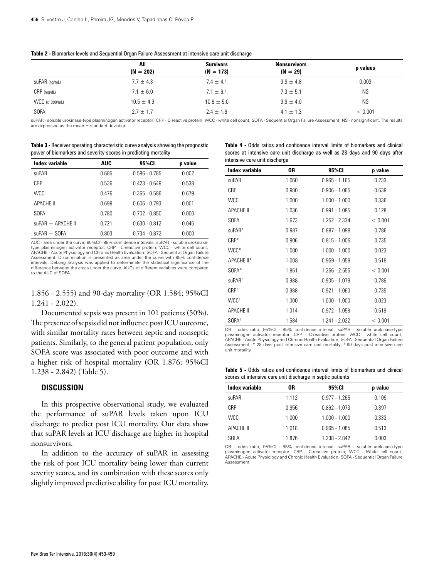|                | All<br>$(N = 202)$ | <b>Survivors</b><br>$(N = 173)$ | <b>Nonsurvivors</b><br>$(N = 29)$ | p values  |
|----------------|--------------------|---------------------------------|-----------------------------------|-----------|
| suPAR (ng/mL)  | $7.7 \pm 4.3$      | $7.4 \pm 4.1$                   | $9.9 \pm 4.8$                     | 0.003     |
| $CRP$ (mg/dL)  | $7.1 \pm 6.0$      | $7.1 \pm 6.1$                   | $7.3 \pm 5.1$                     | <b>NS</b> |
| WCC (x1000/mL) | $10.5 \pm 4.9$     | $10.6 \pm 5.0$                  | $9.9 \pm 4.0$                     | <b>NS</b> |
| <b>SOFA</b>    | $2.7 \pm 1.7$      | $2.4 \pm 1.6$                   | $4.1 \pm 1.3$                     | < 0.001   |

| Table 2 - Biomarker levels and Sequential Organ Failure Assessment at intensive care unit discharge |  |
|-----------------------------------------------------------------------------------------------------|--|
|-----------------------------------------------------------------------------------------------------|--|

suPAR - soluble urokinase-type plasminogen activator receptor; CRP - C-reactive protein; WCC - white cell count; SOFA - Sequential Organ Failure Assessment; NS - nonsignificant. The results are expressed as the mean ± standard deviation.

| <b>Table 3 - Receiver operating characteristic curve analysis showing the prognostic</b> |
|------------------------------------------------------------------------------------------|
| power of biomarkers and severity scores in predicting mortality                          |

| Index variable        | <b>AUC</b> | 95%CI           | p value |
|-----------------------|------------|-----------------|---------|
| suPAR                 | 0.685      | $0.586 - 0.785$ | 0.002   |
| CRP                   | 0.536      | $0.423 - 0.649$ | 0.538   |
| <b>WCC</b>            | 0.476      | $0.365 - 0.586$ | 0.679   |
| <b>APACHE II</b>      | 0.699      | $0.606 - 0.793$ | 0.001   |
| SOFA                  | 0.780      | $0.702 - 0.850$ | 0.000   |
| $\mu$ PAR + APACHE II | 0.721      | $0.630 - 0.812$ | 0.045   |
| $suPAR + SOFA$        | 0.803      | $0.734 - 0.872$ | 0.000   |

AUC - area under the curve; 95%Cl - 95% confidence intervals; suPAR - soluble urokinase-<br>type plasminogen activator receptor; CRP - C-reactive protein; WCC - white cell count;<br>APACHE - Acute Physiology and Chronic Health E Assessment. Discrimination is presented as area under the curve with 95% confidence intervals. DeLong analysis was applied to determinate the statistical significance of the difference between the areas under the curve. AUCs of different variables were compared to the AUC of SOFA

1.856 - 2.555) and 90-day mortality (OR 1.584; 95%CI 1.241 - 2.022).

Documented sepsis was present in 101 patients (50%). The presence of sepsis did not influence post ICU outcome, with similar mortality rates between septic and nonseptic patients. Similarly, to the general patient population, only SOFA score was associated with poor outcome and with a higher risk of hospital mortality (OR 1.876; 95%CI 1.238 - 2.842) (Table 5).

## **DISCUSSION**

In this prospective observational study, we evaluated the performance of suPAR levels taken upon ICU discharge to predict post ICU mortality. Our data show that suPAR levels at ICU discharge are higher in hospital nonsurvivors.

In addition to the accuracy of suPAR in assessing the risk of post ICU mortality being lower than current severity scores, and its combination with these scores only slightly improved predictive ability for post ICU mortality.

|                               | <b>Table 4 - Odds ratios and confidence interval limits of biomarkers and clinical</b> |  |  |  |
|-------------------------------|----------------------------------------------------------------------------------------|--|--|--|
|                               | scores at intensive care unit discharge as well as 28 days and 90 days after           |  |  |  |
| intensive care unit discharge |                                                                                        |  |  |  |

| Index variable         | 0R    | 95%CI           | p value |
|------------------------|-------|-----------------|---------|
| suPAR                  | 1.060 | $0.965 - 1.165$ | 0.233   |
| <b>CRP</b>             | 0.980 | $0.906 - 1.065$ | 0.639   |
| <b>WCC</b>             | 1.000 | $1.000 - 1.000$ | 0.336   |
| <b>APACHE II</b>       | 1.036 | $0.991 - 1.085$ | 0.128   |
| SOFA                   | 1.673 | 1.252 - 2.334   | < 0.001 |
| suPAR*                 | 0.987 | $0.887 - 1.098$ | 0.786   |
| $CRP*$                 | 0.906 | $0.815 - 1.006$ | 0.735   |
| WCC*                   | 1.000 | $1.000 - 1.000$ | 0.023   |
| APACHE II*             | 1.008 | $0.959 - 1.059$ | 0.519   |
| SOFA*                  | 1.861 | $1.356 - 2.555$ | < 0.001 |
| suPAR <sup>+</sup>     | 0.988 | $0.905 - 1.079$ | 0.786   |
| CRP <sup>†</sup>       | 0.988 | $0.921 - 1.060$ | 0.735   |
| WCC <sup>+</sup>       | 1.000 | $1.000 - 1.000$ | 0.023   |
| APACHE II <sup>+</sup> | 1.014 | $0.972 - 1.058$ | 0.519   |
| SOFA <sup>+</sup>      | 1.584 | 1.241 - 2.022   | < 0.001 |

OR - odds ratio; 95%CI - 95% confidence interval; suPAR - soluble urokinase-type plasminogen activator receptor; CRP - C-reactive protein; WCC - white cell count; APACHE - Acute Physiology and Chronic Health Evaluation; SOFA - Sequential Organ Failure Assessment; \* 28 days post intensive care unit mortality; † 90 days post intensive care unit mortality.

**Table 5 -** Odds ratios and confidence interval limits of biomarkers and clinical scores at intensive care unit discharge in septic patients

| Index variable   | 0R    | 95%CI           | p value |
|------------------|-------|-----------------|---------|
| suPAR            | 1.112 | $0.977 - 1.265$ | 0.109   |
| CRP              | 0.956 | $0.862 - 1.073$ | 0.397   |
| <b>WCC</b>       | 1.000 | $1.000 - 1.000$ | 0.333   |
| <b>APACHE II</b> | 1.018 | $0.965 - 1.085$ | 0.513   |
| <b>SOFA</b>      | 1.876 | 1.238 - 2.842   | 0.003   |

OR - odds ratio; 95%CI - 95% confidence interval; suPAR - soluble urokinase-type plasminogen activator receptor; CRP - C-reactive protein; WCC - White cell count; APACHE - Acute Physiology and Chronic Health Evaluation; SOFA - Sequential Organ Failure Assessment.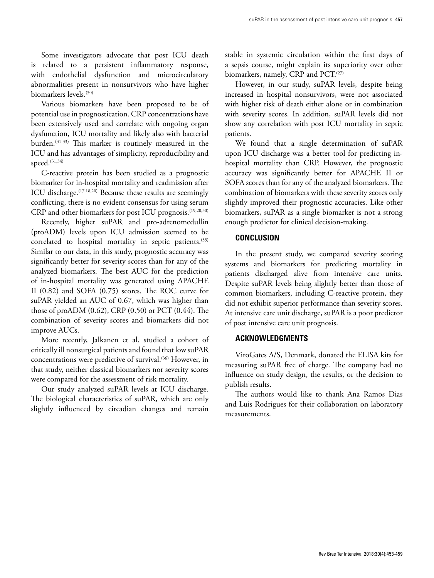Some investigators advocate that post ICU death is related to a persistent inflammatory response, with endothelial dysfunction and microcirculatory abnormalities present in nonsurvivors who have higher biomarkers levels.<sup>(30)</sup>

Various biomarkers have been proposed to be of potential use in prognostication. CRP concentrations have been extensively used and correlate with ongoing organ dysfunction, ICU mortality and likely also with bacterial burden.(31-33) This marker is routinely measured in the ICU and has advantages of simplicity, reproducibility and speed.(31,34)

C-reactive protein has been studied as a prognostic biomarker for in-hospital mortality and readmission after ICU discharge.(17,18,20) Because these results are seemingly conflicting, there is no evident consensus for using serum CRP and other biomarkers for post ICU prognosis.(19,20,30)

Recently, higher suPAR and pro-adrenomedullin (proADM) levels upon ICU admission seemed to be correlated to hospital mortality in septic patients.<sup>(35)</sup> Similar to our data, in this study, prognostic accuracy was significantly better for severity scores than for any of the analyzed biomarkers. The best AUC for the prediction of in-hospital mortality was generated using APACHE II (0.82) and SOFA (0.75) scores. The ROC curve for suPAR yielded an AUC of 0.67, which was higher than those of proADM (0.62), CRP (0.50) or PCT (0.44). The combination of severity scores and biomarkers did not improve AUCs.

More recently, Jalkanen et al. studied a cohort of critically ill nonsurgical patients and found that low suPAR concentrations were predictive of survival.<sup>(36)</sup> However, in that study, neither classical biomarkers nor severity scores were compared for the assessment of risk mortality.

Our study analyzed suPAR levels at ICU discharge. The biological characteristics of suPAR, which are only slightly influenced by circadian changes and remain stable in systemic circulation within the first days of a sepsis course, might explain its superiority over other biomarkers, namely, CRP and PCT.<sup>(27)</sup>

However, in our study, suPAR levels, despite being increased in hospital nonsurvivors, were not associated with higher risk of death either alone or in combination with severity scores. In addition, suPAR levels did not show any correlation with post ICU mortality in septic patients.

We found that a single determination of suPAR upon ICU discharge was a better tool for predicting inhospital mortality than CRP. However, the prognostic accuracy was significantly better for APACHE II or SOFA scores than for any of the analyzed biomarkers. The combination of biomarkers with these severity scores only slightly improved their prognostic accuracies. Like other biomarkers, suPAR as a single biomarker is not a strong enough predictor for clinical decision-making.

# **CONCLUSION**

In the present study, we compared severity scoring systems and biomarkers for predicting mortality in patients discharged alive from intensive care units. Despite suPAR levels being slightly better than those of common biomarkers, including C-reactive protein, they did not exhibit superior performance than severity scores. At intensive care unit discharge, suPAR is a poor predictor of post intensive care unit prognosis.

# **ACKNOWLEDGMENTS**

ViroGates A/S, Denmark, donated the ELISA kits for measuring suPAR free of charge. The company had no influence on study design, the results, or the decision to publish results.

The authors would like to thank Ana Ramos Dias and Luis Rodrigues for their collaboration on laboratory measurements.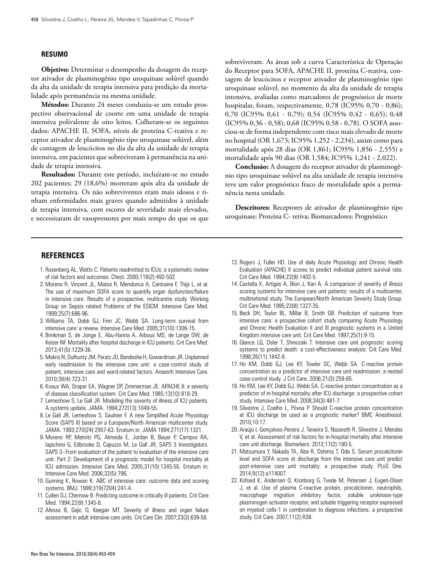#### **RESUMO**

**Objetivo:** Determinar o desempenho da dosagem do receptor ativador de plasminogênio tipo uroquinase solúvel quando da alta da unidade de terapia intensiva para predição da mortalidade após permanência na mesma unidade.

**Métodos:** Durante 24 meses conduziu-se um estudo prospectivo observacional de coorte em uma unidade de terapia intensiva polivalente de oito leitos. Colheram-se os seguintes dados: APACHE II, SOFA, níveis de proteína C-reativa e receptor ativador de plasminogênio tipo uroquinase solúvel, além de contagem de leucócitos no dia da alta da unidade de terapia intensiva, em pacientes que sobreviveram à permanência na unidade de terapia intensiva.

**Resultados:** Durante este período, incluíram-se no estudo 202 pacientes; 29 (18,6%) morreram após alta da unidade de terapia intensiva. Os não sobreviventes eram mais idosos e tinham enfermidades mais graves quando admitidos à unidade de terapia intensiva, com escores de severidade mais elevados, e necessitaram de vasopressores por mais tempo do que os que

sobreviveram. As áreas sob a curva Característica de Operação do Receptor para SOFA, APACHE II, proteína C-reativa, contagem de leucócitos e receptor ativador de plasminogênio tipo uroquinase solúvel, no momento da alta da unidade de terapia intensiva, avaliadas como marcadores de prognóstico de morte hospitalar, foram, respectivamente, 0,78 (IC95% 0,70 - 0,86); 0,70 (IC95% 0,61 - 0,79); 0,54 (IC95% 0,42 - 0,65); 0,48 (IC95% 0,36 - 0,58); 0,68 (IC95% 0,58 - 0,78). O SOFA associou-se de forma independente com risco mais elevado de morte no hospital (OR 1,673; IC95% 1,252 - 2,234), assim como para mortalidade após 28 dias (OR 1,861; IC95% 1,856 - 2,555) e mortalidade após 90 dias (OR 1,584; IC95% 1,241 - 2,022).

**Conclusão:** A dosagem do receptor ativador de plasminogênio tipo uroquinase solúvel na alta unidade de terapia intensiva teve um valor prognóstico fraco de mortalidade após a permanência nesta unidade.

**Descritores:** Receptores de ativador de plasminogênio tipo uroquinase; Proteína C- retiva; Biomarcadores; Prognóstico

# **REFERENCES**

- 1. Rosenberg AL, Watts C. Patients readmitted to ICUs: a systematic review of risk factors and outcomes. Chest. 2000;118(2):492-502.
- 2. Moreno R, Vincent JL, Matos R, Mendonca A, Cantraine F, Thijs L, et al. The use of maximum SOFA score to quantify organ dysfunction/failure in intensive care. Results of a prospective, multicentre study. Working Group on Sepsis related Problems of the ESICM. Intensive Care Med. 1999;25(7):686-96.
- 3. Williams TA, Dobb GJ, Finn JC, Webb SA. Long-term survival from intensive care: a review. Intensive Care Med. 2005;31(10):1306-15.
- 4. Brinkman S, de Jonge E, Abu-Hanna A, Arbous MS, de Lange DW, de Keizer NF. Mortality after hospital discharge in ICU patients. Crit Care Med. 2013;41(5):1229-36.
- 5. Makris N, Dulhunty JM, Paratz JD, Bandeshe H, Gowardman JR. Unplanned early readmission to the intensive care unit: a case-control study of patient, intensive care and ward-related factors. Anaesth Intensive Care. 2010;38(4):723-31.
- 6. Knaus WA, Draper EA, Wagner DP, Zimmerman JE. APACHE II: a severity of disease classification system. Crit Care Med. 1985;13(10):818-29.
- 7.Lemeshow S, Le Gall JR. Modeling the severity of illness of ICU patients. A systems update. JAMA. 1994;272(13):1049-55.
- 8.Le Gall JR, Lemeshow S, Saulnier F. A new Simplified Acute Physiology Score (SAPS II) based on a European/North American multicenter study. JAMA. 1993;270(24):2957-63. Erratum in: JAMA 1994;271(17):1321.
- 9. Moreno RP, Metnitz PG, Almeida E, Jordan B, Bauer P, Campos RA, Iapichino G, Edbrooke D, Capuzzo M, Le Gall JR; SAPS 3 Investigators. SAPS 3--From evaluation of the patient to evaluation of the intensive care unit. Part 2: Development of a prognostic model for hospital mortality at ICU admission. Intensive Care Med. 2005;31(10):1345-55. Erratum in: Intensive Care Med. 2006;32(5):796.
- 10. Gunning K, Rowan K. ABC of intensive care: outcome data and scoring systems. BMJ. 1999;319(7204):241-4.
- 11. Cullen DJ, Chernow B. Predicting outcome in critically ill patients. Crit Care Med. 1994;22(9):1345-8.
- 12. Afessa B, Gajic O, Keegan MT. Severity of illness and organ failure assessment in adult intensive care units. Crit Care Clin. 2007;23(3):639-58.
- 13. Rogers J, Fuller HD. Use of daily Acute Physiology and Chronic Health Evaluation (APACHE) II scores to predict individual patient survival rate. Crit Care Med. 1994;22(9):1402-5.
- 14. Castella X, Artigas A, Bion J, Kari A. A comparison of severity of illness scoring systems for intensive care unit patients: results of a multicenter, multinational study. The European/North American Severity Study Group. Crit Care Med. 1995;23(8):1327-35.
- 15. Beck DH, Taylor BL, Millar B, Smith GB. Prediction of outcome from intensive care: a prospective cohort study comparing Acute Physiology and Chronic Health Evaluation II and III prognostic systems in a United Kingdom intensive care unit. Crit Care Med. 1997;25(1):9-15.
- 16. Glance LG, Osler T, Shinozaki T. Intensive care unit prognostic scoring systems to predict death: a cost-effectiveness analysis. Crit Care Med. 1998;26(11):1842-9.
- 17. Ho KM, Dobb GJ, Lee KY, Towler SC, Webb SA. C-reactive protein concentration as a predictor of intensive care unit readmission: a nested case-control study. J Crit Care. 2006;21(3):259-65.
- 18. Ho KM, Lee KY, Dobb GJ, Webb SA. C-reactive protein concentration as a predictor of in-hospital mortality after ICU discharge: a prospective cohort study. Intensive Care Med. 2008;34(3):481-7.
- 19. Silvestre J, Coelho L, Póvoa P. Should C-reactive protein concentration at ICU discharge be used as a prognostic marker? BMC Anesthesiol. 2010;10:17.
- 20. Araújo I, Gonçalves-Pereira J, Teixeira S, Nazareth R, Silvestre J, Mendes V, et al. Assessment of risk factors for in-hospital mortality after intensive care unit discharge. Biomarkers. 2012;17(2):180-5.
- 21. Matsumura Y, Nakada TA, Abe R, Oshima T, Oda S. Serum procalcitonin level and SOFA score at discharge from the intensive care unit predict post-intensive care unit mortality: a prospective study. PLoS One. 2014;9(12):e114007.
- 22. Kofoed K, Andersen O, Kronborg G, Tvede M, Petersen J, Eugen-Olsen J, et al. Use of plasma C-reactive protein, procalcitonin, neutrophils, macrophage migration inhibitory factor, soluble urokinase-type plasminogen activator receptor, and soluble triggering receptor expressed on myeloid cells-1 in combination to diagnose infections: a prospective study. Crit Care. 2007;11(2):R38.